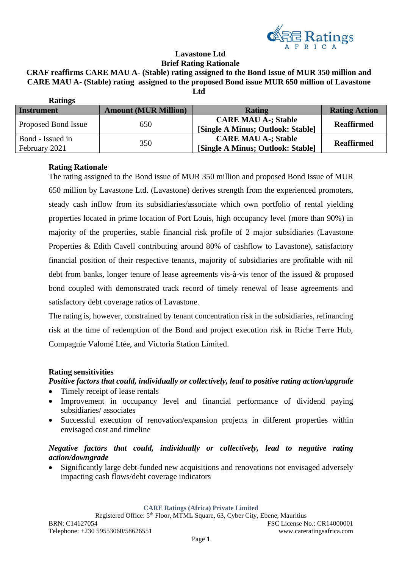

#### **Lavastone Ltd Brief Rating Rationale**

# **CRAF reaffirms CARE MAU A- (Stable) rating assigned to the Bond Issue of MUR 350 million and CARE MAU A- (Stable) rating assigned to the proposed Bond issue MUR 650 million of Lavastone**

| <b>Ratings</b>                    |                             |                                                                 |                      |
|-----------------------------------|-----------------------------|-----------------------------------------------------------------|----------------------|
| <b>Instrument</b>                 | <b>Amount (MUR Million)</b> | <b>Rating</b>                                                   | <b>Rating Action</b> |
| Proposed Bond Issue               | 650                         | <b>CARE MAU A-; Stable</b><br>[Single A Minus; Outlook: Stable] | <b>Reaffirmed</b>    |
| Bond - Issued in<br>February 2021 | 350                         | <b>CARE MAU A-; Stable</b><br>[Single A Minus; Outlook: Stable] | <b>Reaffirmed</b>    |

**Ltd** 

## **Rating Rationale**

The rating assigned to the Bond issue of MUR 350 million and proposed Bond Issue of MUR 650 million by Lavastone Ltd. (Lavastone) derives strength from the experienced promoters, steady cash inflow from its subsidiaries/associate which own portfolio of rental yielding properties located in prime location of Port Louis, high occupancy level (more than 90%) in majority of the properties, stable financial risk profile of 2 major subsidiaries (Lavastone Properties & Edith Cavell contributing around 80% of cashflow to Lavastone), satisfactory financial position of their respective tenants, majority of subsidiaries are profitable with nil debt from banks, longer tenure of lease agreements vis-à-vis tenor of the issued & proposed bond coupled with demonstrated track record of timely renewal of lease agreements and satisfactory debt coverage ratios of Lavastone.

The rating is, however, constrained by tenant concentration risk in the subsidiaries, refinancing risk at the time of redemption of the Bond and project execution risk in Riche Terre Hub, Compagnie Valomé Ltée, and Victoria Station Limited.

### **Rating sensitivities**

## *Positive factors that could, individually or collectively, lead to positive rating action/upgrade*

- Timely receipt of lease rentals
- Improvement in occupancy level and financial performance of dividend paying subsidiaries/ associates
- Successful execution of renovation/expansion projects in different properties within envisaged cost and timeline

# *Negative factors that could, individually or collectively, lead to negative rating action/downgrade*

• Significantly large debt-funded new acquisitions and renovations not envisaged adversely impacting cash flows/debt coverage indicators

**CARE Ratings (Africa) Private Limited**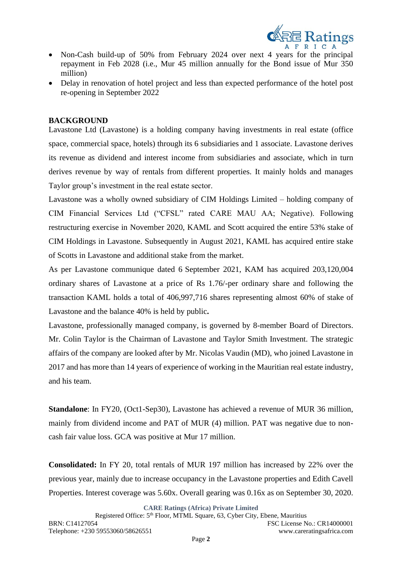

- Non-Cash build-up of 50% from February 2024 over next 4 years for the principal repayment in Feb 2028 (i.e., Mur 45 million annually for the Bond issue of Mur 350 million)
- Delay in renovation of hotel project and less than expected performance of the hotel post re-opening in September 2022

### **BACKGROUND**

Lavastone Ltd (Lavastone) is a holding company having investments in real estate (office space, commercial space, hotels) through its 6 subsidiaries and 1 associate. Lavastone derives its revenue as dividend and interest income from subsidiaries and associate, which in turn derives revenue by way of rentals from different properties. It mainly holds and manages Taylor group's investment in the real estate sector.

Lavastone was a wholly owned subsidiary of CIM Holdings Limited – holding company of CIM Financial Services Ltd ("CFSL" rated CARE MAU AA; Negative). Following restructuring exercise in November 2020, KAML and Scott acquired the entire 53% stake of CIM Holdings in Lavastone. Subsequently in August 2021, KAML has acquired entire stake of Scotts in Lavastone and additional stake from the market.

As per Lavastone communique dated 6 September 2021, KAM has acquired 203,120,004 ordinary shares of Lavastone at a price of Rs 1.76/-per ordinary share and following the transaction KAML holds a total of 406,997,716 shares representing almost 60% of stake of Lavastone and the balance 40% is held by public**.** 

Lavastone, professionally managed company, is governed by 8-member Board of Directors. Mr. Colin Taylor is the Chairman of Lavastone and Taylor Smith Investment. The strategic affairs of the company are looked after by Mr. Nicolas Vaudin (MD), who joined Lavastone in 2017 and has more than 14 years of experience of working in the Mauritian real estate industry, and his team.

**Standalone**: In FY20, (Oct1-Sep30), Lavastone has achieved a revenue of MUR 36 million, mainly from dividend income and PAT of MUR (4) million. PAT was negative due to noncash fair value loss. GCA was positive at Mur 17 million.

**Consolidated:** In FY 20, total rentals of MUR 197 million has increased by 22% over the previous year, mainly due to increase occupancy in the Lavastone properties and Edith Cavell Properties. Interest coverage was 5.60x. Overall gearing was 0.16x as on September 30, 2020.

**CARE Ratings (Africa) Private Limited**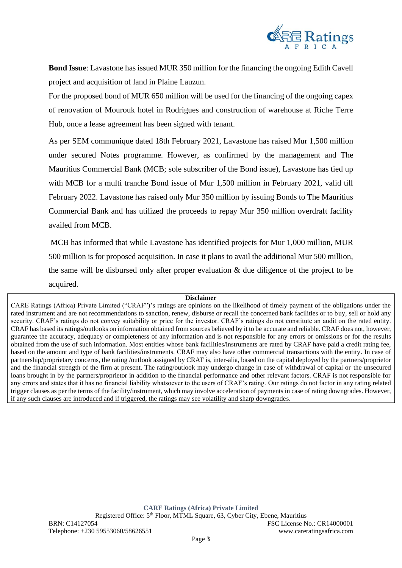

**Bond Issue**: Lavastone has issued MUR 350 million for the financing the ongoing Edith Cavell project and acquisition of land in Plaine Lauzun.

For the proposed bond of MUR 650 million will be used for the financing of the ongoing capex of renovation of Mourouk hotel in Rodrigues and construction of warehouse at Riche Terre Hub, once a lease agreement has been signed with tenant.

As per SEM communique dated 18th February 2021, Lavastone has raised Mur 1,500 million under secured Notes programme. However, as confirmed by the management and The Mauritius Commercial Bank (MCB; sole subscriber of the Bond issue), Lavastone has tied up with MCB for a multi tranche Bond issue of Mur 1,500 million in February 2021, valid till February 2022. Lavastone has raised only Mur 350 million by issuing Bonds to The Mauritius Commercial Bank and has utilized the proceeds to repay Mur 350 million overdraft facility availed from MCB.

MCB has informed that while Lavastone has identified projects for Mur 1,000 million, MUR 500 million is for proposed acquisition. In case it plans to avail the additional Mur 500 million, the same will be disbursed only after proper evaluation & due diligence of the project to be acquired.

#### **Disclaimer**

CARE Ratings (Africa) Private Limited ("CRAF")'s ratings are opinions on the likelihood of timely payment of the obligations under the rated instrument and are not recommendations to sanction, renew, disburse or recall the concerned bank facilities or to buy, sell or hold any security. CRAF's ratings do not convey suitability or price for the investor. CRAF's ratings do not constitute an audit on the rated entity. CRAF has based its ratings/outlooks on information obtained from sources believed by it to be accurate and reliable. CRAF does not, however, guarantee the accuracy, adequacy or completeness of any information and is not responsible for any errors or omissions or for the results obtained from the use of such information. Most entities whose bank facilities/instruments are rated by CRAF have paid a credit rating fee, based on the amount and type of bank facilities/instruments. CRAF may also have other commercial transactions with the entity. In case of partnership/proprietary concerns, the rating /outlook assigned by CRAF is, inter-alia, based on the capital deployed by the partners/proprietor and the financial strength of the firm at present. The rating/outlook may undergo change in case of withdrawal of capital or the unsecured loans brought in by the partners/proprietor in addition to the financial performance and other relevant factors. CRAF is not responsible for any errors and states that it has no financial liability whatsoever to the users of CRAF's rating. Our ratings do not factor in any rating related trigger clauses as per the terms of the facility/instrument, which may involve acceleration of payments in case of rating downgrades. However, if any such clauses are introduced and if triggered, the ratings may see volatility and sharp downgrades.